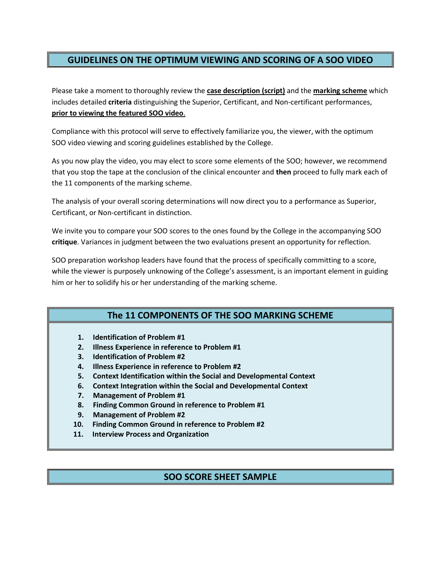## **GUIDELINES ON THE OPTIMUM VIEWING AND SCORING OF A SOO VIDEO**

 Please take a moment to thoroughly review the **case description (script)** and the **marking scheme** which  **prior to viewing the featured SOO video**. includes detailed **criteria** distinguishing the Superior, Certificant, and Non-certificant performances,

 Compliance with this protocol will serve to effectively familiarize you, the viewer, with the optimum SOO video viewing and scoring guidelines established by the College.

 As you now play the video, you may elect to score some elements of the SOO; however, we recommend that you stop the tape at the conclusion of the clinical encounter and **then** proceed to fully mark each of the 11 components of the marking scheme.

 The analysis of your overall scoring determinations will now direct you to a performance as Superior, Certificant, or Non-certificant in distinction.

 We invite you to compare your SOO scores to the ones found by the College in the accompanying SOO **critique**. Variances in judgment between the two evaluations present an opportunity for reflection.

SOO preparation workshop leaders have found that the process of specifically committing to a score, while the viewer is purposely unknowing of the College's assessment, is an important element in guiding him or her to solidify his or her understanding of the marking scheme.

# **The 11 COMPONENTS OF THE SOO MARKING SCHEME**

- **Identification of Problem #1**
- **Illness Experience in reference to Problem #1**
- **3. Identification of Problem #2**
- **Illness Experience in reference to Problem #2**
- **Context Identification within the Social and Developmental Context**
- **Context Integration within the Social and Developmental Context**
- **Management of Problem #1**
- **Finding Common Ground in reference to Problem #1**
- **Management of Problem #2**
- **1. 2. 3. 4. 5. 6. 7. 8. 9. 10. Finding Common Ground in reference to Problem #2**
- **11. Interview Process and Organization**

### **SOO SCORE SHEET SAMPLE**